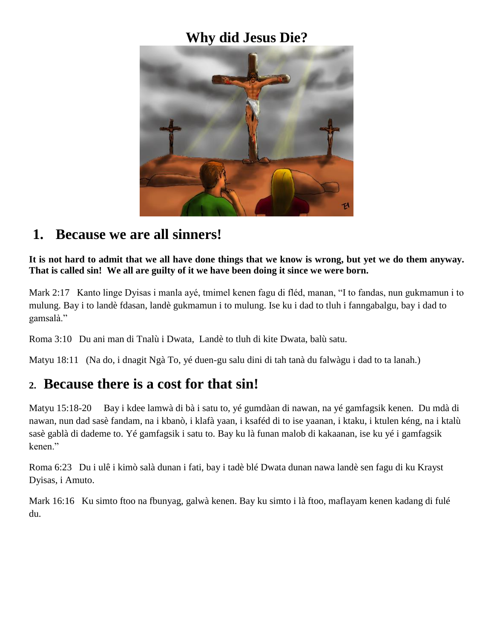### **Why did Jesus Die?**



#### **1. Because we are all sinners!**

**It is not hard to admit that we all have done things that we know is wrong, but yet we do them anyway. That is called sin! We all are guilty of it we have been doing it since we were born.**

Mark 2:17 Kanto linge Dyisas i manla ayé, tmimel kenen fagu di fléd, manan, "I to fandas, nun gukmamun i to mulung. Bay i to landè fdasan, landè gukmamun i to mulung. Ise ku i dad to tluh i fanngabalgu, bay i dad to gamsalà."

Roma 3:10 Du ani man di Tnalù i Dwata, Landè to tluh di kite Dwata, balù satu.

Matyu 18:11 (Na do, i dnagit Ngà To, yé duen-gu salu dini di tah tanà du falwàgu i dad to ta lanah.)

#### **2. Because there is a cost for that sin!**

Matyu 15:18-20 Bay i kdee lamwà di bà i satu to, yé gumdàan di nawan, na yé gamfagsik kenen. Du mdà di nawan, nun dad sasè fandam, na i kbanò, i klafà yaan, i ksaféd di to ise yaanan, i ktaku, i ktulen kéng, na i ktalù sasè gablà di dademe to. Yé gamfagsik i satu to. Bay ku là funan malob di kakaanan, ise ku yé i gamfagsik kenen."

Roma 6:23 Du i ulê i kimò salà dunan i fati, bay i tadè blé Dwata dunan nawa landè sen fagu di ku Krayst Dyisas, i Amuto.

Mark 16:16 Ku simto ftoo na fbunyag, galwà kenen. Bay ku simto i là ftoo, maflayam kenen kadang di fulé du.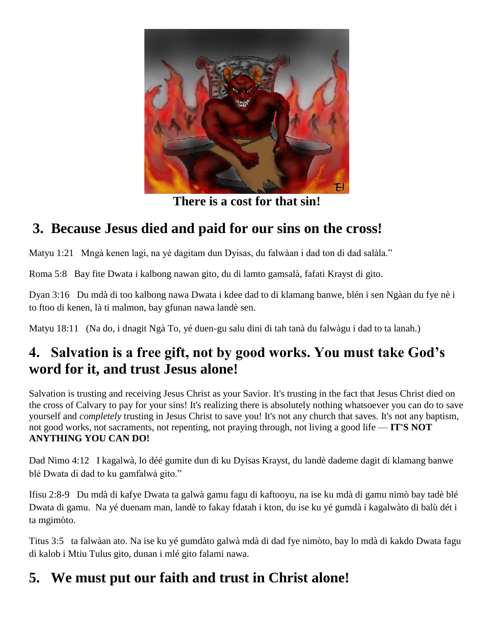

**There is a cost for that sin!**

# **3. Because Jesus died and paid for our sins on the cross!**

Matyu 1:21 Mngà kenen lagi, na yé dagitam dun Dyisas, du falwàan i dad ton di dad salàla."

Roma 5:8 Bay fite Dwata i kalbong nawan gito, du di lamto gamsalà, fafati Krayst di gito.

Dyan 3:16 Du mdà di too kalbong nawa Dwata i kdee dad to di klamang banwe, blén i sen Ngàan du fye nè i to ftoo di kenen, là ti malmon, bay gfunan nawa landè sen.

Matyu 18:11 (Na do, i dnagit Ngà To, yé duen-gu salu dini di tah tanà du falwàgu i dad to ta lanah.)

### **4. Salvation is a free gift, not by good works. You must take God's word for it, and trust Jesus alone!**

Salvation is trusting and receiving Jesus Christ as your Savior. It's trusting in the fact that Jesus Christ died on the cross of Calvary to pay for your sins! It's realizing there is absolutely nothing whatsoever you can do to save yourself and *completely* trusting in Jesus Christ to save you! It's not any church that saves. It's not any baptism, not good works, not sacraments, not repenting, not praying through, not living a good life — **IT'S NOT ANYTHING YOU CAN DO!**

Dad Nimo 4:12 I kagalwà, lo déé gumite dun di ku Dyisas Krayst, du landè dademe dagit di klamang banwe blé Dwata di dad to ku gamfalwà gito."

Ifisu 2:8-9 Du mdà di kafye Dwata ta galwà gamu fagu di kaftooyu, na ise ku mdà di gamu nimò bay tadè blé Dwata di gamu. Na yé duenam man, landè to fakay fdatah i kton, du ise ku yé gumdà i kagalwàto di balù dét i ta mgimòto.

Titus 3:5 ta falwàan ato. Na ise ku yé gumdàto galwà mdà di dad fye nimòto, bay lo mdà di kakdo Dwata fagu di kalob i Mtiu Tulus gito, dunan i mlé gito falami nawa.

# **5. We must put our faith and trust in Christ alone!**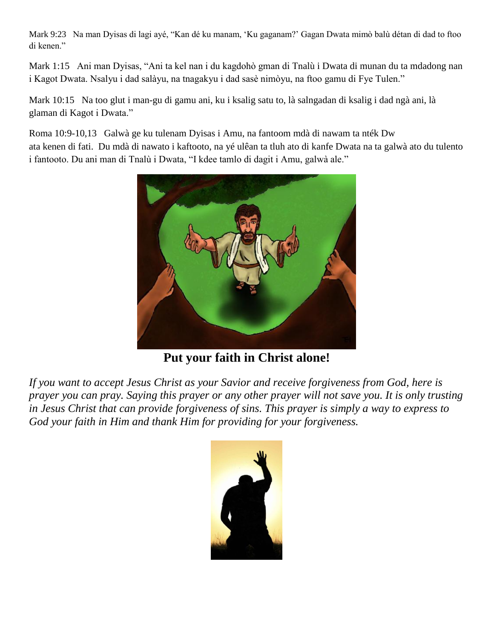Mark 9:23 Na man Dyisas di lagi ayé, "Kan dé ku manam, 'Ku gaganam?' Gagan Dwata mimò balù détan di dad to ftoo di kenen."

Mark 1:15 Ani man Dyisas, "Ani ta kel nan i du kagdohò gman di Tnalù i Dwata di munan du ta mdadong nan i Kagot Dwata. Nsalyu i dad salàyu, na tnagakyu i dad sasè nimòyu, na ftoo gamu di Fye Tulen."

Mark 10:15 Na too glut i man-gu di gamu ani, ku i ksalig satu to, là salngadan di ksalig i dad ngà ani, là glaman di Kagot i Dwata."

Roma 10:9-10,13 Galwà ge ku tulenam Dyisas i Amu, na fantoom mdà di nawam ta nték Dw ata kenen di fati. Du mdà di nawato i kaftooto, na yé ulêan ta tluh ato di kanfe Dwata na ta galwà ato du tulento i fantooto. Du ani man di Tnalù i Dwata, "I kdee tamlo di dagit i Amu, galwà ale."



**Put your faith in Christ alone!**

*If you want to accept Jesus Christ as your Savior and receive forgiveness from God, here is prayer you can pray. Saying this prayer or any other prayer will not save you. It is only trusting in Jesus Christ that can provide forgiveness of sins. This prayer is simply a way to express to God your faith in Him and thank Him for providing for your forgiveness.*